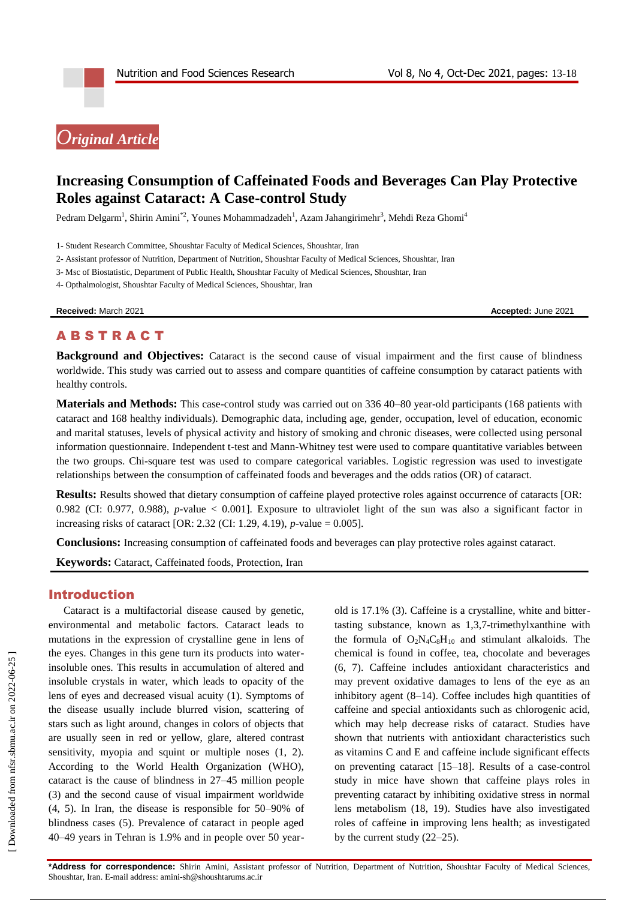# *Original Article*

# **Increasing Consumption of Caffeinated Foods and Beverages Can Play Protective Roles against Cataract: A Case-control Study**

Pedram Delgarm<sup>1</sup>, Shirin Amini<sup>\*2</sup>, Younes Mohammadzadeh<sup>1</sup>, Azam Jahangirimehr<sup>3</sup>, Mehdi Reza Ghomi<sup>4</sup>

2- Assistant professor of Nutrition, Department of Nutrition, Shoushtar Faculty of Medical Sciences, Shoushtar, Iran

3- Msc of Biostatistic, Department of Public Health, Shoushtar Faculty of Medical Sciences, Shoushtar, Iran

4- Opthalmologist, Shoushtar Faculty of Medical Sciences, Shoushtar, Iran

**Received:** March 2021 **Accepted:** June 2021

# **ABSTRACT**

**Background and Objectives:** Cataract is the second cause of visual impairment and the first cause of blindness worldwide. This study was carried out to assess and compare quantities of caffeine consumption by cataract patients with healthy controls.

**Materials and Methods:** This case-control study was carried out on 336 40–80 year-old participants (168 patients with cataract and 168 healthy individuals). Demographic data, including age, gender, occupation, level of education, economic and marital statuses, levels of physical activity and history of smoking and chronic diseases, were collected using personal information questionnaire. Independent t-test and Mann-Whitney test were used to compare quantitative variables between the two groups. Chi-square test was used to compare categorical variables. Logistic regression was used to investigate relationships between the consumption of caffeinated foods and beverages and the odds ratios (OR) of cataract.

**Results:** Results showed that dietary consumption of caffeine played protective roles against occurrence of cataracts [OR: 0.982 (CI: 0.977, 0.988), *p*-value < 0.001]. Exposure to ultraviolet light of the sun was also a significant factor in increasing risks of cataract [OR: 2.32 (CI: 1.29, 4.19), *p*-value = 0.005].

**Conclusions:** Increasing consumption of caffeinated foods and beverages can play protective roles against cataract.

**Keywords:** Cataract, Caffeinated foods, Protection, Iran

#### Introduction

Cataract is a multifactorial disease caused by genetic, environmental and metabolic factors. Cataract leads to mutations in the expression of crystalline gene in lens of the eyes. Changes in this gene turn its products into waterinsoluble ones. This results in accumulation of altered and insoluble crystals in water, which leads to opacity of the lens of eyes and decreased visual acuity (1). Symptoms of the disease usually include blurred vision, scattering of stars such as light around, changes in colors of objects that are usually seen in red or yellow, glare, altered contrast sensitivity, myopia and squint or multiple noses  $(1, 2)$ . According to the World Health Organization (WHO), cataract is the cause of blindness in 27–45 million people (3) and the second cause of visual impairment worldwide (4, 5). In Iran, the disease is responsible for 50–90% of blindness cases (5). Prevalence of cataract in people aged 40–49 years in Tehran is 1.9% and in people over 50 year-

old is 17.1% (3). Caffeine is a crystalline, white and bittertasting substance, known as 1,3,7-trimethylxanthine with the formula of  $O_2N_4C_8H_{10}$  and stimulant alkaloids. The chemical is found in coffee, tea, chocolate and beverages (6, 7). Caffeine includes antioxidant characteristics and may prevent oxidative damages to lens of the eye as an inhibitory agent (8–14). Coffee includes high quantities of caffeine and special antioxidants such as chlorogenic acid, which may help decrease risks of cataract. Studies have shown that nutrients with antioxidant characteristics such as vitamins C and E and caffeine include significant effects on preventing cataract [15–18]. Results of a case-control study in mice have shown that caffeine plays roles in preventing cataract by inhibiting oxidative stress in normal lens metabolism (18, 19). Studies have also investigated roles of caffeine in improving lens health; as investigated by the current study (22–25).

<sup>1-</sup> Student Research Committee, Shoushtar Faculty of Medical Sciences, Shoushtar, Iran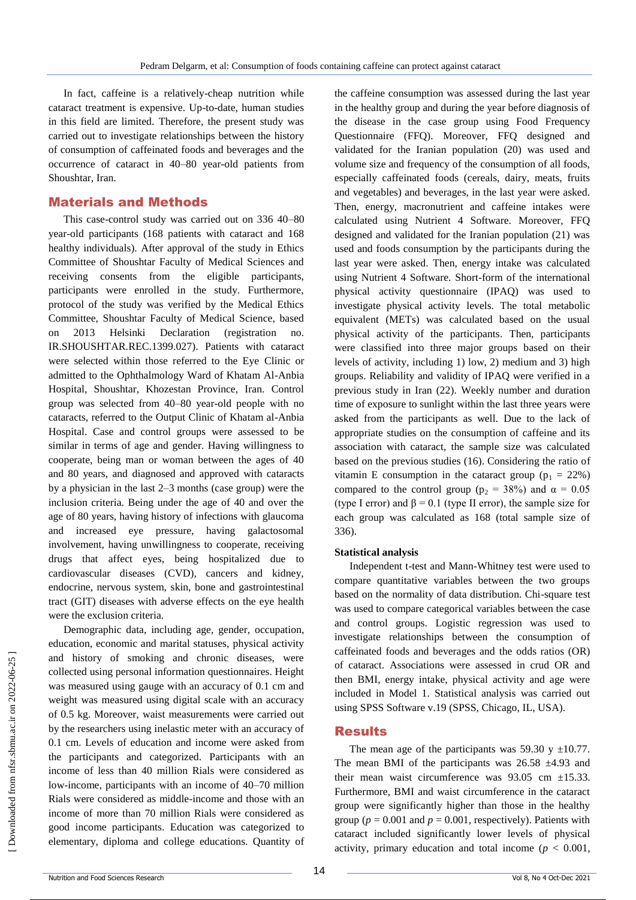In fact, caffeine is a relatively-cheap nutrition while cataract treatment is expensive. Up-to-date, human studies in this field are limited. Therefore, the present study was carried out to investigate relationships between the history of consumption of caffeinated foods and beverages and the occurrence of cataract in 40–80 year-old patients from Shoushtar, Iran.

## Materials and Methods

This case-control study was carried out on 336 40–80 year-old participants (168 patients with cataract and 168 healthy individuals). After approval of the study in Ethics Committee of Shoushtar Faculty of Medical Sciences and receiving consents from the eligible participants, participants were enrolled in the study. Furthermore, protocol of the study was verified by the Medical Ethics Committee, Shoushtar Faculty of Medical Science, based on 2013 Helsinki Declaration (registration no. IR.SHOUSHTAR.REC.1399.027). Patients with cataract were selected within those referred to the Eye Clinic or admitted to the Ophthalmology Ward of Khatam Al-Anbia Hospital, Shoushtar, Khozestan Province, Iran. Control group was selected from 40–80 year-old people with no cataracts, referred to the Output Clinic of Khatam al-Anbia Hospital. Case and control groups were assessed to be similar in terms of age and gender. Having willingness to cooperate, being man or woman between the ages of 40 and 80 years, and diagnosed and approved with cataracts by a physician in the last 2–3 months (case group) were the inclusion criteria. Being under the age of 40 and over the age of 80 years, having history of infections with glaucoma and increased eye pressure, having galactosomal involvement, having unwillingness to cooperate, receiving drugs that affect eyes, being hospitalized due to cardiovascular diseases (CVD), cancers and kidney, endocrine, nervous system, skin, bone and gastrointestinal tract (GIT) diseases with adverse effects on the eye health were the exclusion criteria.

Demographic data, including age, gender, occupation, education, economic and marital statuses, physical activity and history of smoking and chronic diseases, were collected using personal information questionnaires. Height was measured using gauge with an accuracy of 0.1 cm and weight was measured using digital scale with an accuracy of 0.5 kg. Moreover, waist measurements were carried out by the researchers using inelastic meter with an accuracy of 0.1 cm. Levels of education and income were asked from the participants and categorized. Participants with an income of less than 40 million Rials were considered as low-income, participants with an income of 40–70 million Rials were considered as middle-income and those with an income of more than 70 million Rials were considered as good income participants. Education was categorized to elementary, diploma and college educations. Quantity of the caffeine consumption was assessed during the last year in the healthy group and during the year before diagnosis of the disease in the case group using Food Frequency Questionnaire (FFQ). Moreover, FFQ designed and validated for the Iranian population (20) was used and volume size and frequency of the consumption of all foods, especially caffeinated foods (cereals, dairy, meats, fruits and vegetables) and beverages, in the last year were asked. Then, energy, macronutrient and caffeine intakes were calculated using Nutrient 4 Software. Moreover, FFQ designed and validated for the Iranian population (21) was used and foods consumption by the participants during the last year were asked. Then, energy intake was calculated using Nutrient 4 Software. Short-form of the international physical activity questionnaire (IPAQ) was used to investigate physical activity levels. The total metabolic equivalent (METs) was calculated based on the usual physical activity of the participants. Then, participants were classified into three major groups based on their levels of activity, including 1) low, 2) medium and 3) high groups. Reliability and validity of IPAQ were verified in a previous study in Iran (22). Weekly number and duration time of exposure to sunlight within the last three years were asked from the participants as well. Due to the lack of appropriate studies on the consumption of caffeine and its association with cataract, the sample size was calculated based on the previous studies (16). Considering the ratio of vitamin E consumption in the cataract group ( $p_1 = 22\%$ ) compared to the control group ( $p_2 = 38\%$ ) and  $\alpha = 0.05$ (type I error) and  $\beta = 0.1$  (type II error), the sample size for each group was calculated as 168 (total sample size of 336).

#### **Statistical analysis**

Independent t-test and Mann-Whitney test were used to compare quantitative variables between the two groups based on the normality of data distribution. Chi-square test was used to compare categorical variables between the case and control groups. Logistic regression was used to investigate relationships between the consumption of caffeinated foods and beverages and the odds ratios (OR) of cataract. Associations were assessed in crud OR and then BMI, energy intake, physical activity and age were included in Model 1. Statistical analysis was carried out using SPSS Software v.19 (SPSS, Chicago, IL, USA).

#### **Results**

The mean age of the participants was 59.30 y  $\pm$ 10.77. The mean BMI of the participants was  $26.58 \pm 4.93$  and their mean waist circumference was  $93.05$  cm  $\pm 15.33$ . Furthermore, BMI and waist circumference in the cataract group were significantly higher than those in the healthy group ( $p = 0.001$  and  $p = 0.001$ , respectively). Patients with cataract included significantly lower levels of physical activity, primary education and total income ( $p < 0.001$ ,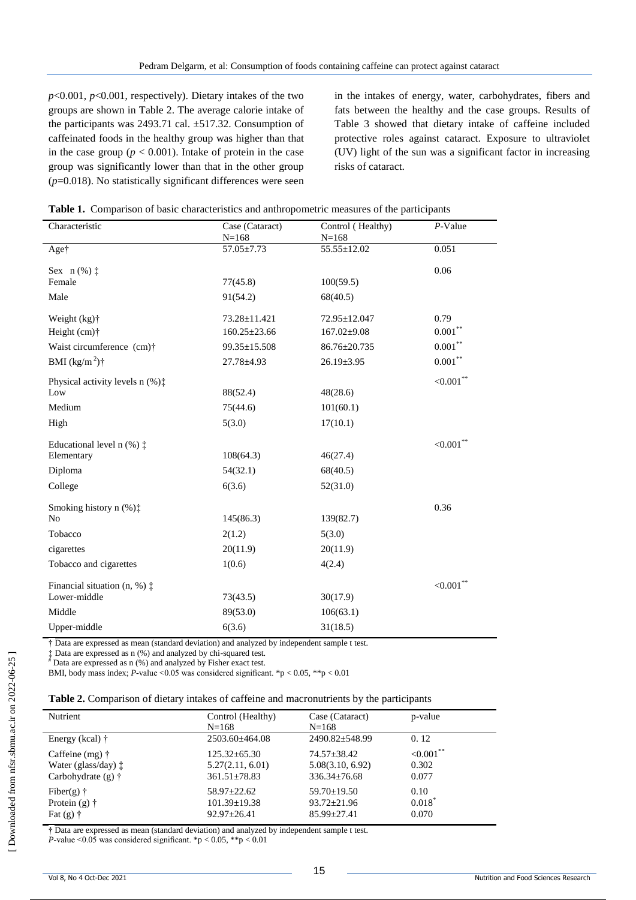$p$ <0.001,  $p$ <0.001, respectively). Dietary intakes of the two groups are shown in Table 2. The average calorie intake of the participants was 2493.71 cal. ±517.32. Consumption of caffeinated foods in the healthy group was higher than that in the case group ( $p < 0.001$ ). Intake of protein in the case group was significantly lower than that in the other group (*p*=0.018). No statistically significant differences were seen in the intakes of energy, water, carbohydrates, fibers and fats between the healthy and the case groups. Results of Table 3 showed that dietary intake of caffeine included protective roles against cataract. Exposure to ultraviolet (UV) light of the sun was a significant factor in increasing risks of cataract.

|  |  | Table 1. Comparison of basic characteristics and anthropometric measures of the participants |  |  |  |
|--|--|----------------------------------------------------------------------------------------------|--|--|--|
|--|--|----------------------------------------------------------------------------------------------|--|--|--|

| Characteristic                              | Case (Cataract)<br>$N = 168$ | Control (Healthy)<br>$N = 168$ | $P$ -Value    |
|---------------------------------------------|------------------------------|--------------------------------|---------------|
| Aget                                        | $57.05 \pm 7.73$             | 55.55±12.02                    | 0.051         |
| Sex $n$ (%) $\ddagger$<br>Female            | 77(45.8)                     | 100(59.5)                      | 0.06          |
| Male                                        | 91(54.2)                     | 68(40.5)                       |               |
| Weight (kg)†                                | 73.28±11.421                 | 72.95±12.047                   | 0.79          |
| Height $(cm)$ <sup>†</sup>                  | $160.25 \pm 23.66$           | $167.02 \pm 9.08$              | $0.001***$    |
| Waist circumference (cm)†                   | 99.35±15.508                 | 86.76±20.735                   | $0.001***$    |
| BMI $(kg/m^2)$ †                            | 27.78±4.93                   | $26.19 \pm 3.95$               | $0.001***$    |
| Physical activity levels $n$ (%) $\ddagger$ |                              |                                | ${<}0.001$ ** |
| Low                                         | 88(52.4)                     | 48(28.6)                       |               |
| Medium                                      | 75(44.6)                     | 101(60.1)                      |               |
| High                                        | 5(3.0)                       | 17(10.1)                       |               |
| Educational level $n$ (%) $\ddagger$        |                              |                                | ${<}0.001$ ** |
| Elementary                                  | 108(64.3)                    | 46(27.4)                       |               |
| Diploma                                     | 54(32.1)                     | 68(40.5)                       |               |
| College                                     | 6(3.6)                       | 52(31.0)                       |               |
| Smoking history n $(\%)$ :                  |                              |                                | 0.36          |
| N <sub>0</sub>                              | 145(86.3)                    | 139(82.7)                      |               |
| Tobacco                                     | 2(1.2)                       | 5(3.0)                         |               |
| cigarettes                                  | 20(11.9)                     | 20(11.9)                       |               |
| Tobacco and cigarettes                      | 1(0.6)                       | 4(2.4)                         |               |
| Financial situation $(n, %)$ $\ddagger$     |                              |                                | ${<}0.001$ ** |
| Lower-middle                                | 73(43.5)                     | 30(17.9)                       |               |
| Middle                                      | 89(53.0)                     | 106(63.1)                      |               |
| Upper-middle                                | 6(3.6)                       | 31(18.5)                       |               |

† Data are expressed as mean (standard deviation) and analyzed by independent sample t test.

‡ Data are expressed as n (%) and analyzed by chi-squared test.

# Data are expressed as n (%) and analyzed by Fisher exact test.

BMI, body mass index;  $P$ -value <0.05 was considered significant. \*p < 0.05, \*\*p < 0.01

|  |  |  |  | Table 2. Comparison of dietary intakes of caffeine and macronutrients by the participants |  |  |
|--|--|--|--|-------------------------------------------------------------------------------------------|--|--|
|  |  |  |  |                                                                                           |  |  |

| <b>Nutrient</b>              | Control (Healthy)<br>$N = 168$ | Case (Cataract)<br>$N = 168$ | p-value       |
|------------------------------|--------------------------------|------------------------------|---------------|
| Energy (kcal) $\dagger$      | $2503.60 \pm 464.08$           | $2490.82 \pm 548.99$         | 0.12          |
| Caffeine (mg) $\dagger$      | $125.32 \pm 65.30$             | 74.57±38.42                  | ${<}0.001$ ** |
| Water (glass/day) $\ddagger$ | 5.27(2.11, 6.01)               | 5.08(3.10, 6.92)             | 0.302         |
| Carbohydrate $(g)$ †         | $361.51 \pm 78.83$             | $336.34 + 76.68$             | 0.077         |
| Fiber(g) $\dagger$           | $58.97 \pm 22.62$              | $59.70 \pm 19.50$            | 0.10          |
| Protein $(g)$ †              | $101.39 \pm 19.38$             | $93.72 \pm 21.96$            | $0.018^*$     |
| Fat $(g)$ †                  | $92.97 \pm 26.41$              | $85.99 \pm 27.41$            | 0.070         |

**†** Data are expressed as mean (standard deviation) and analyzed by independent sample t test.

*P*-value  $\leq 0.05$  was considered significant. \*p  $\leq 0.05$ , \*\*p  $\leq 0.01$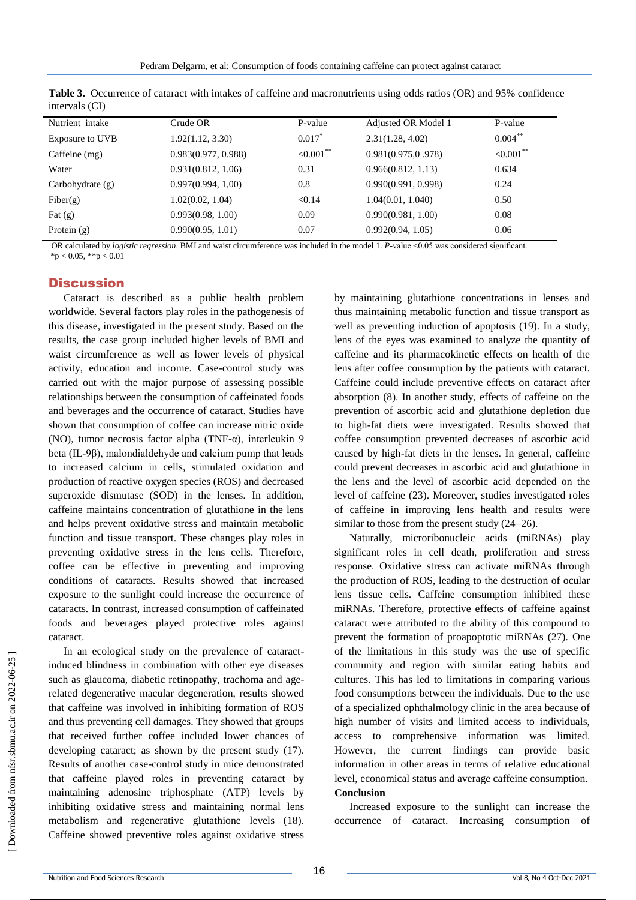| Nutrient intake    | Crude OR            | P-value              | Adjusted OR Model 1 | P-value       |
|--------------------|---------------------|----------------------|---------------------|---------------|
| Exposure to UVB    | 1.92(1.12, 3.30)    | $0.017$ <sup>*</sup> | 2.31(1.28, 4.02)    | $0.004***$    |
| Caffeine (mg)      | 0.983(0.977, 0.988) | $<0.001$ **          | 0.981(0.975, 0.978) | ${<}0.001$ ** |
| Water              | 0.931(0.812, 1.06)  | 0.31                 | 0.966(0.812, 1.13)  | 0.634         |
| Carbohydrate $(g)$ | 0.997(0.994, 1.00)  | 0.8                  | 0.990(0.991, 0.998) | 0.24          |
| Fiber(g)           | 1.02(0.02, 1.04)    | < 0.14               | 1.04(0.01, 1.040)   | 0.50          |
| Fat $(g)$          | 0.993(0.98, 1.00)   | 0.09                 | 0.990(0.981, 1.00)  | 0.08          |
| Protein $(g)$      | 0.990(0.95, 1.01)   | 0.07                 | 0.992(0.94, 1.05)   | 0.06          |

**Table 3.** Occurrence of cataract with intakes of caffeine and macronutrients using odds ratios (OR) and 95% confidence intervals (CI)

 OR calculated by *logistic regression*. BMI and waist circumference was included in the model 1. *P*-value <0.05 was considered significant.  $*_{p}$  < 0.05,  $*_{p}$  < 0.01

## **Discussion**

Cataract is described as a public health problem worldwide. Several factors play roles in the pathogenesis of this disease, investigated in the present study. Based on the results, the case group included higher levels of BMI and waist circumference as well as lower levels of physical activity, education and income. Case-control study was carried out with the major purpose of assessing possible relationships between the consumption of caffeinated foods and beverages and the occurrence of cataract. Studies have shown that consumption of coffee can increase nitric oxide (NO), tumor necrosis factor alpha (TNF-α), interleukin 9 beta (IL-9β), malondialdehyde and calcium pump that leads to increased calcium in cells, stimulated oxidation and production of reactive oxygen species (ROS) and decreased superoxide dismutase (SOD) in the lenses. In addition, caffeine maintains concentration of glutathione in the lens and helps prevent oxidative stress and maintain metabolic function and tissue transport. These changes play roles in preventing oxidative stress in the lens cells. Therefore, coffee can be effective in preventing and improving conditions of cataracts. Results showed that increased exposure to the sunlight could increase the occurrence of cataracts. In contrast, increased consumption of caffeinated foods and beverages played protective roles against cataract.

In an ecological study on the prevalence of cataractinduced blindness in combination with other eye diseases such as glaucoma, diabetic retinopathy, trachoma and agerelated degenerative macular degeneration, results showed that caffeine was involved in inhibiting formation of ROS and thus preventing cell damages. They showed that groups that received further coffee included lower chances of developing cataract; as shown by the present study (17). Results of another case-control study in mice demonstrated that caffeine played roles in preventing cataract by maintaining adenosine triphosphate (ATP) levels by inhibiting oxidative stress and maintaining normal lens metabolism and regenerative glutathione levels (18). Caffeine showed preventive roles against oxidative stress by maintaining glutathione concentrations in lenses and thus maintaining metabolic function and tissue transport as well as preventing induction of apoptosis (19). In a study, lens of the eyes was examined to analyze the quantity of caffeine and its pharmacokinetic effects on health of the lens after coffee consumption by the patients with cataract. Caffeine could include preventive effects on cataract after absorption (8). In another study, effects of caffeine on the prevention of ascorbic acid and glutathione depletion due to high-fat diets were investigated. Results showed that coffee consumption prevented decreases of ascorbic acid caused by high-fat diets in the lenses. In general, caffeine could prevent decreases in ascorbic acid and glutathione in the lens and the level of ascorbic acid depended on the level of caffeine (23). Moreover, studies investigated roles of caffeine in improving lens health and results were similar to those from the present study (24–26).

Naturally, microribonucleic acids (miRNAs) play significant roles in cell death, proliferation and stress response. Oxidative stress can activate miRNAs through the production of ROS, leading to the destruction of ocular lens tissue cells. Caffeine consumption inhibited these miRNAs. Therefore, protective effects of caffeine against cataract were attributed to the ability of this compound to prevent the formation of proapoptotic miRNAs (27). One of the limitations in this study was the use of specific community and region with similar eating habits and cultures. This has led to limitations in comparing various food consumptions between the individuals. Due to the use of a specialized ophthalmology clinic in the area because of high number of visits and limited access to individuals, access to comprehensive information was limited. However, the current findings can provide basic information in other areas in terms of relative educational level, economical status and average caffeine consumption. **Conclusion**

Increased exposure to the sunlight can increase the occurrence of cataract. Increasing consumption of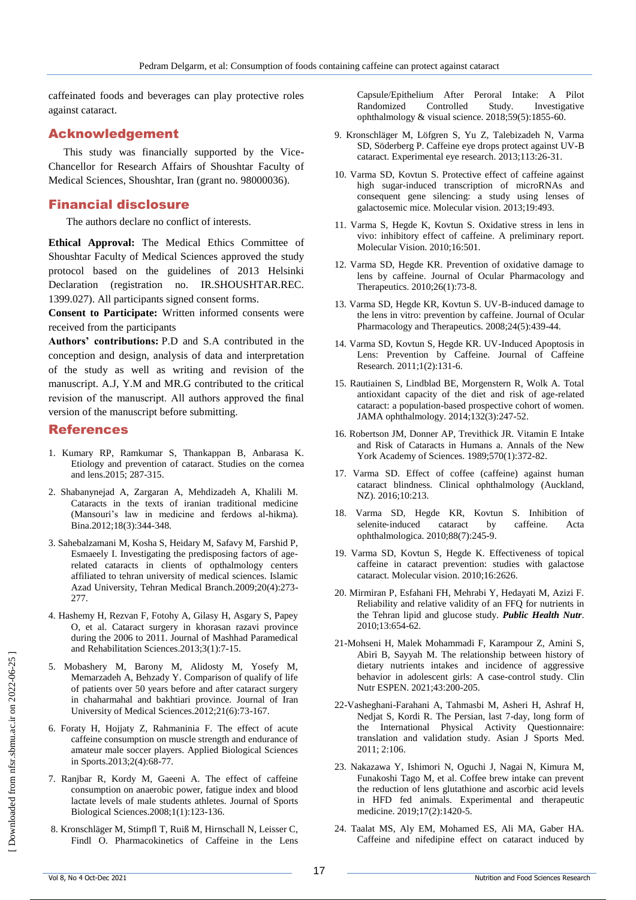caffeinated foods and beverages can play protective roles against cataract.

## Acknowledgement

This study was financially supported by the Vice-Chancellor for Research Affairs of Shoushtar Faculty of Medical Sciences, Shoushtar, Iran (grant no. 98000036).

# Financial disclosure

The authors declare no conflict of interests.

**Ethical Approval:** The Medical Ethics Committee of Shoushtar Faculty of Medical Sciences approved the study protocol based on the guidelines of 2013 Helsinki Declaration (registration no. IR.SHOUSHTAR.REC. 1399.027). All participants signed consent forms.

**Consent to Participate:** Written informed consents were received from the participants

**Authors' contributions:** P.D and S.A contributed in the conception and design, analysis of data and interpretation of the study as well as writing and revision of the manuscript. A.J, Y.M and MR.G contributed to the critical revision of the manuscript. All authors approved the final version of the manuscript before submitting.

#### References

- 1. Kumary RP, Ramkumar S, Thankappan B, Anbarasa K. Etiology and prevention of cataract. Studies on the cornea and lens.2015; 287-315.
- 2. Shabanynejad A, Zargaran A, Mehdizadeh A, Khalili M. Cataracts in the texts of iranian traditional medicine (Mansouri's law in medicine and ferdows al-hikma). Bina.2012;18(3):344-348.
- 3. Sahebalzamani M, Kosha S, Heidary M, Safavy M, Farshid P, Esmaeely I. Investigating the predisposing factors of agerelated cataracts in clients of opthalmology centers affiliated to tehran university of medical sciences. Islamic Azad University, Tehran Medical Branch.2009;20(4):273- 277.
- 4. Hashemy H, Rezvan F, Fotohy A, Gilasy H, Asgary S, Papey O, et al. Cataract surgery in khorasan razavi province during the 2006 to 2011. Journal of Mashhad Paramedical and Rehabilitation Sciences.2013;3(1):7-15.
- 5. Mobashery M, Barony M, Alidosty M, Yosefy M, Memarzadeh A, Behzady Y. Comparison of qualify of life of patients over 50 years before and after cataract surgery in chaharmahal and bakhtiari province. Journal of Iran University of Medical Sciences.2012;21(6):73-167.
- 6. Foraty H, Hojjaty Z, Rahmaninia F. The effect of acute caffeine consumption on muscle strength and endurance of amateur male soccer players. Applied Biological Sciences in Sports.2013;2(4):68-77.
- 7. Ranjbar R, Kordy M, Gaeeni A. The effect of caffeine consumption on anaerobic power, fatigue index and blood lactate levels of male students athletes. Journal of Sports Biological Sciences.2008;1(1):123-136.
- 8. Kronschläger M, Stimpfl T, Ruiß M, Hirnschall N, Leisser C, Findl O. Pharmacokinetics of Caffeine in the Lens

Capsule/Epithelium After Peroral Intake: A Pilot Randomized Controlled Study. Investigative ophthalmology & visual science. 2018;59(5):1855-60.

- 9. Kronschläger M, Löfgren S, Yu Z, Talebizadeh N, Varma SD, Söderberg P. Caffeine eye drops protect against UV-B cataract. Experimental eye research. 2013;113:26-31.
- 10. Varma SD, Kovtun S. Protective effect of caffeine against high sugar-induced transcription of microRNAs and consequent gene silencing: a study using lenses of galactosemic mice. Molecular vision. 2013;19:493.
- 11. Varma S, Hegde K, Kovtun S. Oxidative stress in lens in vivo: inhibitory effect of caffeine. A preliminary report. Molecular Vision. 2010;16:501.
- 12. Varma SD, Hegde KR. Prevention of oxidative damage to lens by caffeine. Journal of Ocular Pharmacology and Therapeutics. 2010;26(1):73-8.
- 13. Varma SD, Hegde KR, Kovtun S. UV-B-induced damage to the lens in vitro: prevention by caffeine. Journal of Ocular Pharmacology and Therapeutics. 2008;24(5):439-44.
- 14. Varma SD, Kovtun S, Hegde KR. UV-Induced Apoptosis in Lens: Prevention by Caffeine. Journal of Caffeine Research. 2011;1(2):131-6.
- 15. Rautiainen S, Lindblad BE, Morgenstern R, Wolk A. Total antioxidant capacity of the diet and risk of age-related cataract: a population-based prospective cohort of women. JAMA ophthalmology. 2014;132(3):247-52.
- 16. Robertson JM, Donner AP, Trevithick JR. Vitamin E Intake and Risk of Cataracts in Humans a. Annals of the New York Academy of Sciences. 1989;570(1):372-82.
- 17. Varma SD. Effect of coffee (caffeine) against human cataract blindness. Clinical ophthalmology (Auckland, NZ). 2016;10:213.
- 18. Varma SD, Hegde KR, Kovtun S. Inhibition of selenite-induced cataract by caffeine. Acta ophthalmologica. 2010;88(7):245-9.
- 19. Varma SD, Kovtun S, Hegde K. Effectiveness of topical caffeine in cataract prevention: studies with galactose cataract. Molecular vision. 2010;16:2626.
- 20. Mirmiran P, Esfahani FH, Mehrabi Y, Hedayati M, Azizi F. Reliability and relative validity of an FFQ for nutrients in the Tehran lipid and glucose study. *Public Health Nutr*. 2010;13:654-62.
- 21-Mohseni H, Malek Mohammadi F, Karampour Z, Amini S, Abiri B, Sayyah M. The relationship between history of dietary nutrients intakes and incidence of aggressive behavior in adolescent girls: A case-control study. Clin Nutr ESPEN. 2021;43:200-205.
- 22-Vasheghani-Farahani A, Tahmasbi M, Asheri H, Ashraf H, Nedjat S, Kordi R. The Persian, last 7-day, long form of the International Physical Activity Questionnaire: translation and validation study. Asian J Sports Med. 2011; 2:106.
- 23. Nakazawa Y, Ishimori N, Oguchi J, Nagai N, Kimura M, Funakoshi Tago M, et al. Coffee brew intake can prevent the reduction of lens glutathione and ascorbic acid levels in HFD fed animals. Experimental and therapeutic medicine. 2019;17(2):1420-5.
- 24. Taalat MS, Aly EM, Mohamed ES, Ali MA, Gaber HA. Caffeine and nifedipine effect on cataract induced by